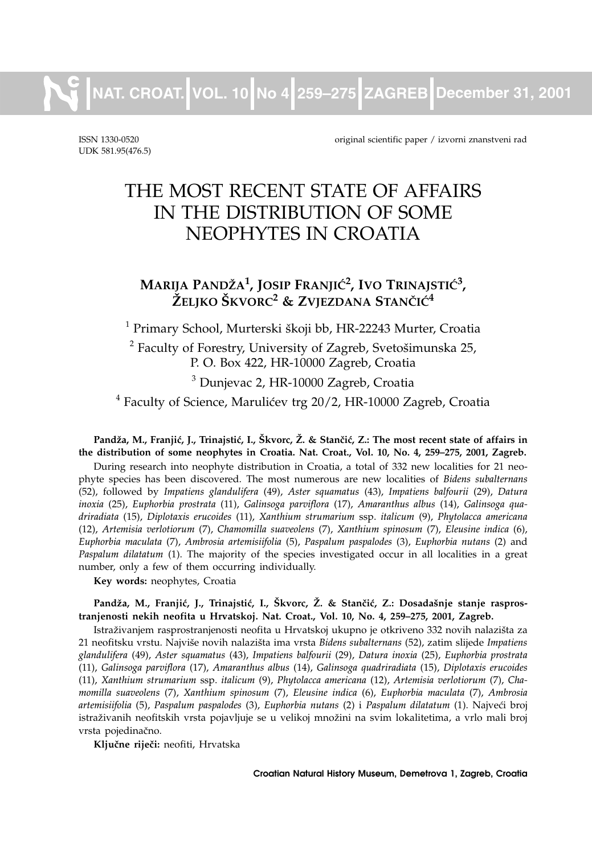**NAT. CROAT. VOL. 10 No 4 259–275 ZAGREB December 31, 2001** 

UDK 581.95(476.5)

ISSN 1330-0520 original scientific paper / izvorni znanstveni rad

# THE MOST RECENT STATE OF AFFAIRS IN THE DISTRIBUTION OF SOME NEOPHYTES IN CROATIA

# $\mathbf{M}$ arija Pandža<sup>1</sup>, Josip Franjić<sup>2</sup>, Ivo Trinajstić<sup>3</sup>, **@ELJKO [KVORC<sup>2</sup> & ZVJEZDANA STAN^I]<sup>4</sup>**

<sup>1</sup> Primary School, Murterski škoji bb, HR-22243 Murter, Croatia

 $2$  Faculty of Forestry, University of Zagreb, Svetošimunska 25, P. O. Box 422, HR-10000 Zagreb, Croatia

<sup>3</sup> Dunjevac 2, HR-10000 Zagreb, Croatia

 $4$  Faculty of Science, Marulićev trg 20/2, HR-10000 Zagreb, Croatia

#### Pandža, M., Franjić, J., Trinajstić, I., Škvorc, Ž. & Stančić, Z.: The most recent state of affairs in **the distribution of some neophytes in Croatia. Nat. Croat., Vol. 10, No. 4, 259–275, 2001, Zagreb.**

During research into neophyte distribution in Croatia, a total of 332 new localities for 21 neophyte species has been discovered. The most numerous are new localities of *Bidens subalternans* (52), followed by *Impatiens glandulifera* (49), *Aster squamatus* (43), *Impatiens balfourii* (29), *Datura inoxia* (25), *Euphorbia prostrata* (11), *Galinsoga parviflora* (17), *Amaranthus albus* (14), *Galinsoga quadriradiata* (15), *Diplotaxis erucoides* (11), *Xanthium strumarium* ssp. *italicum* (9), *Phytolacca americana* (12), *Artemisia verlotiorum* (7), *Chamomilla suaveolens* (7), *Xanthium spinosum* (7), *Eleusine indica* (6), *Euphorbia maculata* (7), *Ambrosia artemisiifolia* (5), *Paspalum paspalodes* (3), *Euphorbia nutans* (2) and *Paspalum dilatatum* (1). The majority of the species investigated occur in all localities in a great number, only a few of them occurring individually.

**Key words:** neophytes, Croatia

#### Pandža, M., Franjić, J., Trinajstić, I., Škvorc, Ž. & Stančić, Z.: Dosadašnje stanje raspros**tranjenosti nekih neofita u Hrvatskoj. Nat. Croat., Vol. 10, No. 4, 259–275, 2001, Zagreb.**

Istraživanjem rasprostranjenosti neofita u Hrvatskoj ukupno je otkriveno 332 novih nalazišta za 21 neofitsku vrstu. Najvi{e novih nalazi{ta ima vrsta *Bidens subalternans* (52), zatim slijede *Impatiens glandulifera* (49), *Aster squamatus* (43), *Impatiens balfourii* (29), *Datura inoxia* (25), *Euphorbia prostrata* (11), *Galinsoga parviflora* (17), *Amaranthus albus* (14), *Galinsoga quadriradiata* (15), *Diplotaxis erucoides* (11), *Xanthium strumarium* ssp. *italicum* (9), *Phytolacca americana* (12), *Artemisia verlotiorum* (7), *Chamomilla suaveolens* (7), *Xanthium spinosum* (7), *Eleusine indica* (6), *Euphorbia maculata* (7), *Ambrosia artemisiifolia* (5), *Paspalum paspalodes* (3), *Euphorbia nutans* (2) i *Paspalum dilatatum* (1). Najve}i broj istraživanih neofitskih vrsta pojavljuje se u velikoj množini na svim lokalitetima, a vrlo mali broj vrsta pojedinačno.

Ključne riječi: neofiti, Hrvatska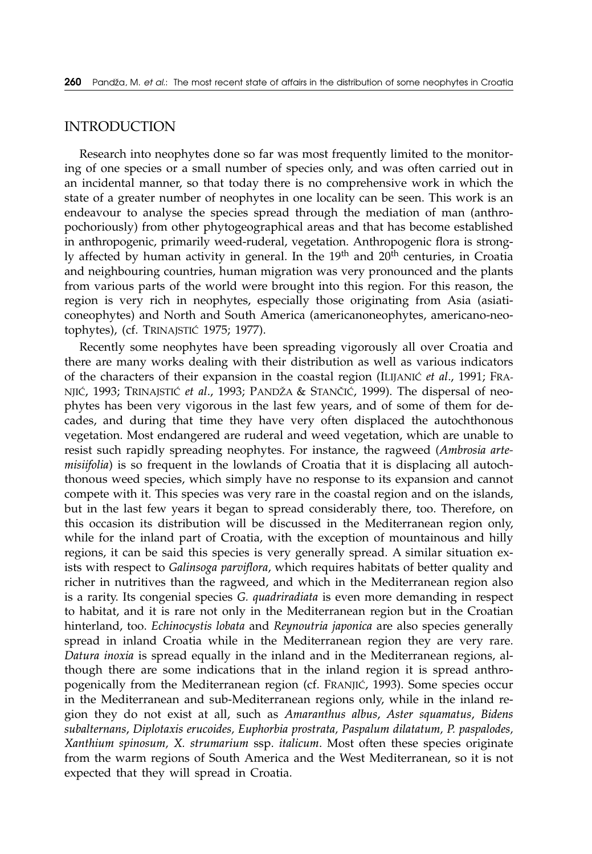#### INTRODUCTION

Research into neophytes done so far was most frequently limited to the monitoring of one species or a small number of species only, and was often carried out in an incidental manner, so that today there is no comprehensive work in which the state of a greater number of neophytes in one locality can be seen. This work is an endeavour to analyse the species spread through the mediation of man (anthropochoriously) from other phytogeographical areas and that has become established in anthropogenic, primarily weed-ruderal, vegetation. Anthropogenic flora is strongly affected by human activity in general. In the  $19<sup>th</sup>$  and  $20<sup>th</sup>$  centuries, in Croatia and neighbouring countries, human migration was very pronounced and the plants from various parts of the world were brought into this region. For this reason, the region is very rich in neophytes, especially those originating from Asia (asiaticoneophytes) and North and South America (americanoneophytes, americano-neotophytes), (cf. TRINAJSTIĆ 1975; 1977).

Recently some neophytes have been spreading vigorously all over Croatia and there are many works dealing with their distribution as well as various indicators of the characters of their expansion in the coastal region (ILIJANIC *et al.*, 1991; FRA-NJIĆ, 1993; TRINAJSTIĆ et al., 1993; PANDŽA & STANČIĆ, 1999). The dispersal of neophytes has been very vigorous in the last few years, and of some of them for decades, and during that time they have very often displaced the autochthonous vegetation. Most endangered are ruderal and weed vegetation, which are unable to resist such rapidly spreading neophytes. For instance, the ragweed (*Ambrosia artemisiifolia*) is so frequent in the lowlands of Croatia that it is displacing all autochthonous weed species, which simply have no response to its expansion and cannot compete with it. This species was very rare in the coastal region and on the islands, but in the last few years it began to spread considerably there, too. Therefore, on this occasion its distribution will be discussed in the Mediterranean region only, while for the inland part of Croatia, with the exception of mountainous and hilly regions, it can be said this species is very generally spread. A similar situation exists with respect to *Galinsoga parviflora*, which requires habitats of better quality and richer in nutritives than the ragweed, and which in the Mediterranean region also is a rarity. Its congenial species *G. quadriradiata* is even more demanding in respect to habitat, and it is rare not only in the Mediterranean region but in the Croatian hinterland, too. *Echinocystis lobata* and *Reynoutria japonica* are also species generally spread in inland Croatia while in the Mediterranean region they are very rare. *Datura inoxia* is spread equally in the inland and in the Mediterranean regions, although there are some indications that in the inland region it is spread anthropogenically from the Mediterranean region (cf. FRANJIC, 1993). Some species occur in the Mediterranean and sub-Mediterranean regions only, while in the inland region they do not exist at all, such as *Amaranthus albus*, *Aster squamatus*, *Bidens subalternans*, *Diplotaxis erucoides, Euphorbia prostrata, Paspalum dilatatum, P. paspalodes, Xanthium spinosum, X. strumarium* ssp. *italicum*. Most often these species originate from the warm regions of South America and the West Mediterranean, so it is not expected that they will spread in Croatia.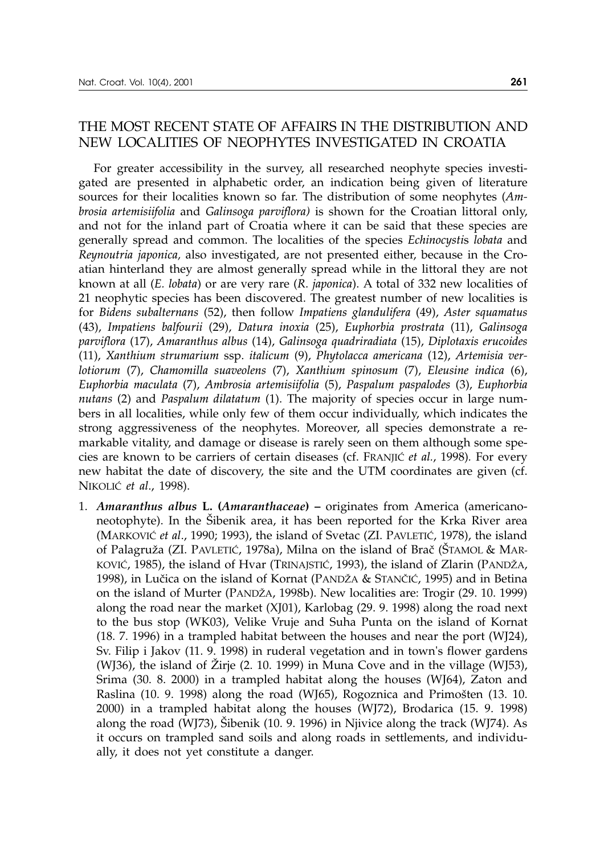### THE MOST RECENT STATE OF AFFAIRS IN THE DISTRIBUTION AND NEW LOCALITIES OF NEOPHYTES INVESTIGATED IN CROATIA

For greater accessibility in the survey, all researched neophyte species investigated are presented in alphabetic order, an indication being given of literature sources for their localities known so far. The distribution of some neophytes (*Ambrosia artemisiifolia* and *Galinsoga parviflora)* is shown for the Croatian littoral only, and not for the inland part of Croatia where it can be said that these species are generally spread and common. The localities of the species *Echinocysti*s *lobata* and *Reynoutria japonica,* also investigated, are not presented either, because in the Croatian hinterland they are almost generally spread while in the littoral they are not known at all (*E. lobata*) or are very rare (*R*. *japonica*). A total of 332 new localities of 21 neophytic species has been discovered. The greatest number of new localities is for *Bidens subalternans* (52), then follow *Impatiens glandulifera* (49), *Aster squamatus* (43), *Impatiens balfourii* (29), *Datura inoxia* (25), *Euphorbia prostrata* (11), *Galinsoga parviflora* (17), *Amaranthus albus* (14), *Galinsoga quadriradiata* (15), *Diplotaxis erucoides* (11), *Xanthium strumarium* ssp. *italicum* (9), *Phytolacca americana* (12), *Artemisia verlotiorum* (7), *Chamomilla suaveolens* (7), *Xanthium spinosum* (7), *Eleusine indica* (6), *Euphorbia maculata* (7), *Ambrosia artemisiifolia* (5), *Paspalum paspalodes* (3), *Euphorbia nutans* (2) and *Paspalum dilatatum* (1). The majority of species occur in large numbers in all localities, while only few of them occur individually, which indicates the strong aggressiveness of the neophytes. Moreover, all species demonstrate a remarkable vitality, and damage or disease is rarely seen on them although some species are known to be carriers of certain diseases (cf. FRANJIC et al., 1998). For every new habitat the date of discovery, the site and the UTM coordinates are given (cf. NIKOLI] *et al*., 1998).

1. *Amaranthus albus* **L. (***Amaranthaceae***) –** originates from America (americanoneotophyte). In the Sibenik area, it has been reported for the Krka River area (MARKOVIĆ et al., 1990; 1993), the island of Svetac (ZI. PAVLETIĆ, 1978), the island of Palagruža (ZI. PAVLETIĆ, 1978a), Milna on the island of Brač (ŠTAMOL & MAR-KOVIĆ, 1985), the island of Hvar (TRINAJSTIĆ, 1993), the island of Zlarin (PANDŽA, 1998), in Lučica on the island of Kornat (PANDŽA & STANČIĆ, 1995) and in Betina on the island of Murter (PAND@A, 1998b). New localities are: Trogir (29. 10. 1999) along the road near the market (XJ01), Karlobag (29. 9. 1998) along the road next to the bus stop (WK03), Velike Vruje and Suha Punta on the island of Kornat (18. 7. 1996) in a trampled habitat between the houses and near the port (WJ24), Sv. Filip i Jakov (11. 9. 1998) in ruderal vegetation and in town's flower gardens (WJ36), the island of Žirje (2. 10. 1999) in Muna Cove and in the village (WJ53), Srima (30. 8. 2000) in a trampled habitat along the houses (WJ64), Zaton and Raslina (10. 9. 1998) along the road (WJ65), Rogoznica and Primošten (13. 10. 2000) in a trampled habitat along the houses (WJ72), Brodarica (15. 9. 1998) along the road (WJ73), Sibenik  $(10. 9. 1996)$  in Njivice along the track (WJ74). As it occurs on trampled sand soils and along roads in settlements, and individually, it does not yet constitute a danger.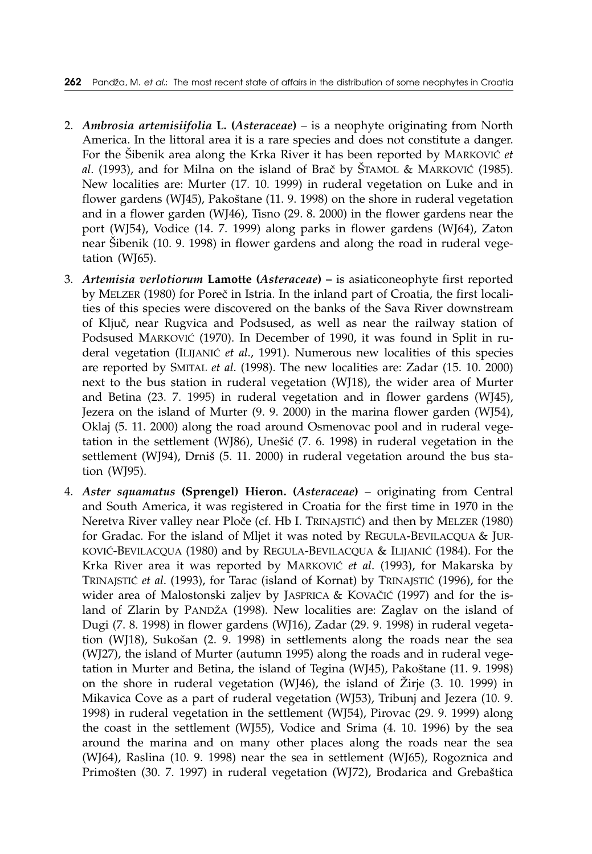- 2. *Ambrosia artemisiifolia* **L. (***Asteraceae***)** is a neophyte originating from North America. In the littoral area it is a rare species and does not constitute a danger. For the Šibenik area along the Krka River it has been reported by MARKOVIĆ et al. (1993), and for Milna on the island of Brač by ŠTAMOL & MARKOVIĆ (1985). New localities are: Murter (17. 10. 1999) in ruderal vegetation on Luke and in flower gardens (WJ45), Pakoštane (11. 9. 1998) on the shore in ruderal vegetation and in a flower garden (WJ46), Tisno (29. 8. 2000) in the flower gardens near the port (WJ54), Vodice (14. 7. 1999) along parks in flower gardens (WJ64), Zaton near Šibenik (10. 9. 1998) in flower gardens and along the road in ruderal vegetation (WJ65).
- 3. *Artemisia verlotiorum* **Lamotte (***Asteraceae***) –** is asiaticoneophyte first reported by MELZER (1980) for Poreč in Istria. In the inland part of Croatia, the first localities of this species were discovered on the banks of the Sava River downstream of Ključ, near Rugvica and Podsused, as well as near the railway station of Podsused MARKOVIĆ (1970). In December of 1990, it was found in Split in ruderal vegetation (ILIJANIĆ et al., 1991). Numerous new localities of this species are reported by SMITAL *et al*. (1998). The new localities are: Zadar (15. 10. 2000) next to the bus station in ruderal vegetation (WJ18), the wider area of Murter and Betina (23. 7. 1995) in ruderal vegetation and in flower gardens (WJ45), Jezera on the island of Murter (9. 9. 2000) in the marina flower garden (WJ54), Oklaj (5. 11. 2000) along the road around Osmenovac pool and in ruderal vegetation in the settlement (WJ86), Unešić (7. 6. 1998) in ruderal vegetation in the settlement (WJ94), Drniš (5. 11. 2000) in ruderal vegetation around the bus station (WJ95).
- 4. *Aster squamatus* **(Sprengel) Hieron. (***Asteraceae***)** originating from Central and South America, it was registered in Croatia for the first time in 1970 in the Neretva River valley near Ploče (cf. Hb I. TRINAJSTIĆ) and then by MELZER (1980) for Gradac. For the island of Mljet it was noted by REGULA-BEVILACQUA & JUR-KOVIĆ-BEVILACQUA (1980) and by REGULA-BEVILACQUA & ILIJANIĆ (1984). For the Krka River area it was reported by MARKOVIĆ et al. (1993), for Makarska by TRINAJSTIĆ et al. (1993), for Tarac (island of Kornat) by TRINAJSTIĆ (1996), for the wider area of Malostonski zaljev by JASPRICA & KOVAČIĆ (1997) and for the island of Zlarin by PANDŽA (1998). New localities are: Zaglav on the island of Dugi (7. 8. 1998) in flower gardens (WJ16), Zadar (29. 9. 1998) in ruderal vegetation (WJ18), Sukošan (2. 9. 1998) in settlements along the roads near the sea (WJ27), the island of Murter (autumn 1995) along the roads and in ruderal vegetation in Murter and Betina, the island of Tegina (WJ45), Pakoštane (11. 9. 1998) on the shore in ruderal vegetation (WJ46), the island of  $\check{Z}$ irje (3. 10. 1999) in Mikavica Cove as a part of ruderal vegetation (WJ53), Tribunj and Jezera (10. 9. 1998) in ruderal vegetation in the settlement (WJ54), Pirovac (29. 9. 1999) along the coast in the settlement (WJ55), Vodice and Srima (4. 10. 1996) by the sea around the marina and on many other places along the roads near the sea (WJ64), Raslina (10. 9. 1998) near the sea in settlement (WJ65), Rogoznica and Primošten (30. 7. 1997) in ruderal vegetation (WJ72), Brodarica and Grebaštica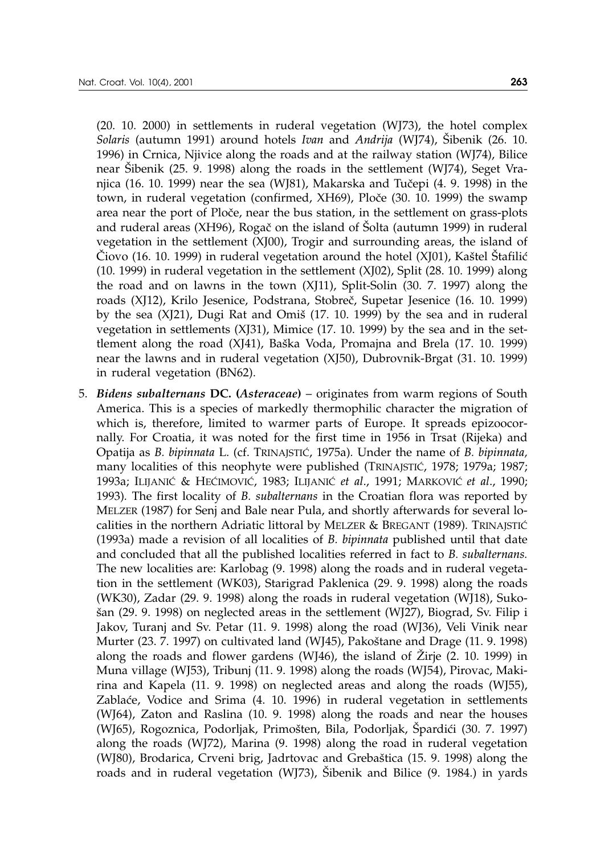in ruderal vegetation (BN62).

(20. 10. 2000) in settlements in ruderal vegetation (WJ73), the hotel complex *Solaris* (autumn 1991) around hotels *Ivan* and *Andrija* (WJ74), Šibenik (26. 10. 1996) in Crnica, Njivice along the roads and at the railway station (WJ74), Bilice near Šibenik (25. 9. 1998) along the roads in the settlement (WJ74), Seget Vranjica (16. 10. 1999) near the sea (WJ81), Makarska and Tučepi (4. 9. 1998) in the town, in ruderal vegetation (confirmed, XH69), Ploče (30. 10. 1999) the swamp area near the port of Ploče, near the bus station, in the settlement on grass-plots and ruderal areas (XH96), Rogač on the island of Šolta (autumn 1999) in ruderal vegetation in the settlement (XJ00), Trogir and surrounding areas, the island of  $\dot{C}$ iovo (16. 10. 1999) in ruderal vegetation around the hotel (XJ01), Kaštel Štafilić (10. 1999) in ruderal vegetation in the settlement (XJ02), Split (28. 10. 1999) along the road and on lawns in the town (XJ11), Split-Solin (30. 7. 1997) along the roads (XJ12), Krilo Jesenice, Podstrana, Stobreč, Supetar Jesenice (16. 10. 1999) by the sea  $(X|21)$ , Dugi Rat and Omiš  $(17. 10. 1999)$  by the sea and in ruderal vegetation in settlements (XJ31), Mimice (17. 10. 1999) by the sea and in the settlement along the road  $(X[41]$ , Baška Voda, Promajna and Brela  $(17. 10. 1999)$ near the lawns and in ruderal vegetation (XJ50), Dubrovnik-Brgat (31. 10. 1999)

5. *Bidens subalternans* **DC. (***Asteraceae***)** – originates from warm regions of South America. This is a species of markedly thermophilic character the migration of which is, therefore, limited to warmer parts of Europe. It spreads epizoocornally. For Croatia, it was noted for the first time in 1956 in Trsat (Rijeka) and Opatija as *B. bipinnata* L. (cf. TRINAJSTI], 1975a)*.* Under the name of *B. bipinnata,* many localities of this neophyte were published (TRINAJSTIĆ, 1978; 1979a; 1987; 1993a; ILIJANI] & HE]IMOVI], 1983; ILIJANI] *et al*., 1991; MARKOVI] *et al*., 1990; 1993)*.* The first locality of *B. subalternans* in the Croatian flora was reported by MELZER (1987) for Senj and Bale near Pula, and shortly afterwards for several localities in the northern Adriatic littoral by MELZER & BREGANT (1989). TRINAJSTIĆ (1993a) made a revision of all localities of *B. bipinnata* published until that date and concluded that all the published localities referred in fact to *B. subalternans.* The new localities are: Karlobag (9. 1998) along the roads and in ruderal vegetation in the settlement (WK03), Starigrad Paklenica (29. 9. 1998) along the roads (WK30), Zadar (29. 9. 1998) along the roads in ruderal vegetation (WJ18), Suko- {an (29. 9. 1998) on neglected areas in the settlement (WJ27), Biograd, Sv. Filip i Jakov, Turanj and Sv. Petar (11. 9. 1998) along the road (WJ36), Veli Vinik near Murter  $(23. 7. 1997)$  on cultivated land  $(W/45)$ , Pakoštane and Drage  $(11. 9. 1998)$ along the roads and flower gardens (WJ46), the island of  $\overline{Z}$ irje (2. 10. 1999) in Muna village (WJ53), Tribunj (11. 9. 1998) along the roads (WJ54), Pirovac, Makirina and Kapela (11. 9. 1998) on neglected areas and along the roads (WJ55), Zablaće, Vodice and Srima (4. 10. 1996) in ruderal vegetation in settlements (WJ64), Zaton and Raslina (10. 9. 1998) along the roads and near the houses (WJ65), Rogoznica, Podorljak, Primošten, Bila, Podorljak, Špardići (30. 7. 1997) along the roads (WJ72), Marina (9. 1998) along the road in ruderal vegetation (WJ80), Brodarica, Crveni brig, Jadrtovac and Grebaštica (15. 9. 1998) along the roads and in ruderal vegetation (WJ73), Šibenik and Bilice (9. 1984.) in yards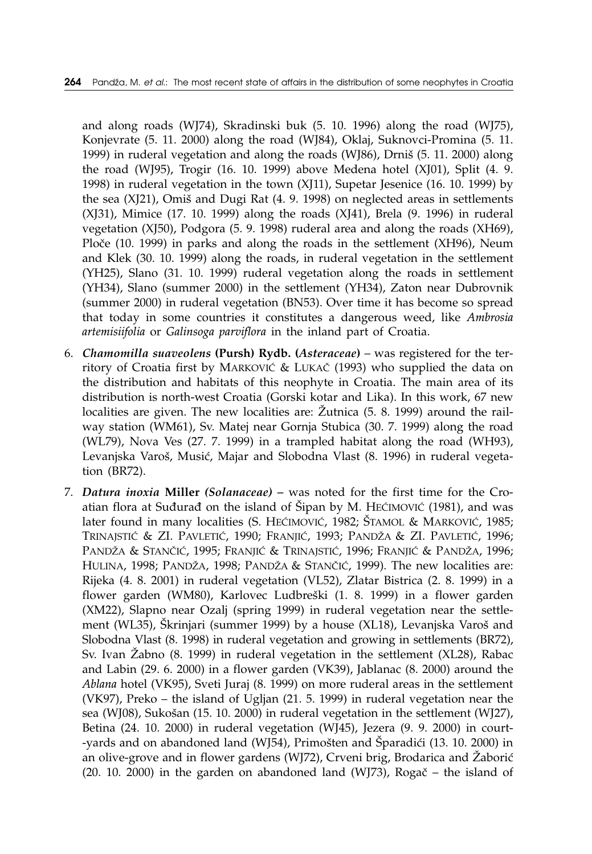and along roads (WJ74), Skradinski buk (5. 10. 1996) along the road (WJ75), Konjevrate (5. 11. 2000) along the road (WJ84), Oklaj, Suknovci-Promina (5. 11. 1999) in ruderal vegetation and along the roads (WJ86), Drniš  $(5. 11. 2000)$  along the road (WJ95), Trogir (16. 10. 1999) above Medena hotel (XJ01), Split (4. 9. 1998) in ruderal vegetation in the town (XJ11), Supetar Jesenice (16. 10. 1999) by the sea (XJ21), Omiš and Dugi Rat (4. 9. 1998) on neglected areas in settlements (XJ31), Mimice (17. 10. 1999) along the roads (XJ41), Brela (9. 1996) in ruderal vegetation (XJ50), Podgora (5. 9. 1998) ruderal area and along the roads (XH69), Ploče (10. 1999) in parks and along the roads in the settlement (XH96), Neum and Klek (30. 10. 1999) along the roads, in ruderal vegetation in the settlement (YH25), Slano (31. 10. 1999) ruderal vegetation along the roads in settlement (YH34), Slano (summer 2000) in the settlement (YH34), Zaton near Dubrovnik (summer 2000) in ruderal vegetation (BN53). Over time it has become so spread that today in some countries it constitutes a dangerous weed, like *Ambrosia artemisiifolia* or *Galinsoga parviflora* in the inland part of Croatia.

- 6. *Chamomilla suaveolens* **(Pursh) Rydb. (***Asteraceae***)** was registered for the territory of Croatia first by MARKOVIĆ & LUKAČ (1993) who supplied the data on the distribution and habitats of this neophyte in Croatia. The main area of its distribution is north-west Croatia (Gorski kotar and Lika). In this work, 67 new localities are given. The new localities are:  $\check{Z}$ utnica (5. 8. 1999) around the railway station (WM61), Sv. Matej near Gornja Stubica (30. 7. 1999) along the road (WL79), Nova Ves (27. 7. 1999) in a trampled habitat along the road (WH93), Levanjska Varoš, Musić, Majar and Slobodna Vlast (8. 1996) in ruderal vegetation (BR72).
- 7. *Datura inoxia* **Miller** *(Solanaceae) –* was noted for the first time for the Croatian flora at Suđurađ on the island of Šipan by M. HEĆIMOVIĆ (1981), and was later found in many localities (S. HEĆIMOVIĆ, 1982; ŠTAMOL & MARKOVIĆ, 1985; TRINAJSTIĆ & ZI. PAVLETIĆ, 1990; FRANJIĆ, 1993; PANDŽA & ZI. PAVLETIĆ, 1996; PANDŽA & STANČIĆ, 1995; FRANJIĆ & TRINAJSTIĆ, 1996; FRANJIĆ & PANDŽA, 1996; HULINA, 1998; PANDŽA, 1998; PANDŽA & STANČIĆ, 1999). The new localities are: Rijeka (4. 8. 2001) in ruderal vegetation (VL52), Zlatar Bistrica (2. 8. 1999) in a flower garden (WM80), Karlovec Ludbreški (1. 8. 1999) in a flower garden (XM22), Slapno near Ozalj (spring 1999) in ruderal vegetation near the settlement (WL35), Škrinjari (summer 1999) by a house (XL18), Levanjska Varoš and Slobodna Vlast (8. 1998) in ruderal vegetation and growing in settlements (BR72), Sv. Ivan Žabno (8. 1999) in ruderal vegetation in the settlement (XL28), Rabac and Labin (29. 6. 2000) in a flower garden (VK39), Jablanac (8. 2000) around the *Ablana* hotel (VK95), Sveti Juraj (8. 1999) on more ruderal areas in the settlement (VK97), Preko – the island of Ugljan (21. 5. 1999) in ruderal vegetation near the sea (WJ08), Sukošan (15. 10. 2000) in ruderal vegetation in the settlement (WJ27), Betina (24. 10. 2000) in ruderal vegetation (WJ45), Jezera (9. 9. 2000) in court- -yards and on abandoned land (WJ54), Primošten and Šparadići (13. 10. 2000) in an olive-grove and in flower gardens (WJ72), Crveni brig, Brodarica and Žaborić (20. 10. 2000) in the garden on abandoned land (WJ73), Rogač – the island of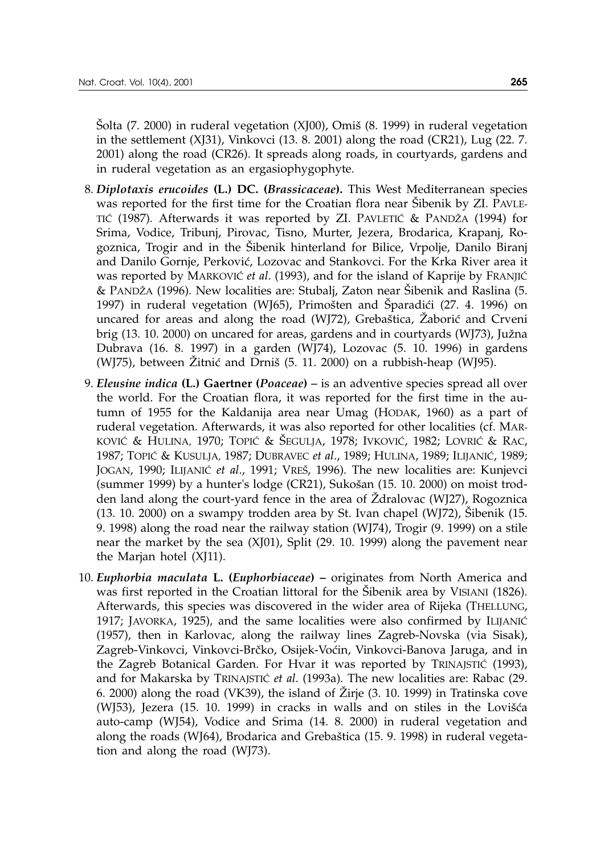$\delta$ olta (7. 2000) in ruderal vegetation (XJ00), Omi $\delta$  (8. 1999) in ruderal vegetation in the settlement (XJ31), Vinkovci (13. 8. 2001) along the road (CR21), Lug (22. 7. 2001) along the road (CR26). It spreads along roads, in courtyards, gardens and in ruderal vegetation as an ergasiophygophyte.

- 8. *Diplotaxis erucoides* **(L.) DC. (***Brassicaceae***).** This West Mediterranean species was reported for the first time for the Croatian flora near Sibenik by ZI. PAVLE-TIĆ (1987). Afterwards it was reported by ZI. PAVLETIĆ & PANDŽA (1994) for Srima, Vodice, Tribunj, Pirovac, Tisno, Murter, Jezera, Brodarica, Krapanj, Rogoznica, Trogir and in the Sibenik hinterland for Bilice, Vrpolje, Danilo Biranj and Danilo Gornje, Perković, Lozovac and Stankovci. For the Krka River area it was reported by MARKOVIĆ *et al.* (1993), and for the island of Kaprije by FRANJIĆ & PANDŽA (1996). New localities are: Stubalj, Zaton near Šibenik and Raslina (5. 1997) in ruderal vegetation (WJ65), Primošten and Šparadići (27. 4. 1996) on uncared for areas and along the road (WJ72), Grebaštica, Žaborić and Crveni brig (13. 10. 2000) on uncared for areas, gardens and in courtyards (WJ73), Južna Dubrava (16. 8. 1997) in a garden (WJ74), Lozovac (5. 10. 1996) in gardens (WJ75), between  $\tilde{Z}$ itnić and Drniš (5. 11. 2000) on a rubbish-heap (WJ95).
- 9. *Eleusine indica* **(L.) Gaertner (***Poaceae***)** *–* is an adventive species spread all over the world. For the Croatian flora, it was reported for the first time in the autumn of 1955 for the Kaldanija area near Umag (HODAK, 1960) as a part of ruderal vegetation. Afterwards, it was also reported for other localities (cf. MAR-KOVIĆ & HULINA, 1970; TOPIĆ & ŠEGULJA, 1978; IVKOVIĆ, 1982; LOVRIĆ & RAC, 1987; TOPIĆ & KUSULJA, 1987; DUBRAVEC *et al.*, 1989; HULINA, 1989; ILIJANIĆ, 1989; JOGAN, 1990; ILIJANIĆ *et al.*, 1991; VREŠ, 1996). The new localities are: Kunjevci (summer 1999) by a hunter's lodge (CR21), Sukošan  $(15. 10. 2000)$  on moist trodden land along the court-yard fence in the area of  $\bar{Z}$ dralovac (WJ27), Rogoznica  $(13. 10. 2000)$  on a swampy trodden area by St. Ivan chapel  $(W|72)$ , Sibenik  $(15. 10. 1000)$ 9. 1998) along the road near the railway station (WJ74), Trogir (9. 1999) on a stile near the market by the sea (XJ01), Split (29. 10. 1999) along the pavement near the Marjan hotel (XJ11).
- 10. *Euphorbia maculata* **L. (***Euphorbiaceae***) –** originates from North America and was first reported in the Croatian littoral for the Sibenik area by VISIANI (1826). Afterwards, this species was discovered in the wider area of Rijeka (THELLUNG, 1917; JAVORKA, 1925), and the same localities were also confirmed by ILIJANIĆ (1957)*,* then in Karlovac, along the railway lines Zagreb-Novska (via Sisak), Zagreb-Vinkovci, Vinkovci-Brčko, Osijek-Voćin, Vinkovci-Banova Jaruga, and in the Zagreb Botanical Garden. For Hvar it was reported by TRINAJSTIĆ (1993), and for Makarska by TRINAJSTIĆ et al. (1993a). The new localities are: Rabac (29. 6. 2000) along the road (VK39), the island of  $\check{Z}$ irje (3. 10. 1999) in Tratinska cove (WJ53), Jezera  $(15. 10. 1999)$  in cracks in walls and on stiles in the Lovišća auto-camp (WJ54), Vodice and Srima (14. 8. 2000) in ruderal vegetation and along the roads (WJ64), Brodarica and Grebaštica (15. 9. 1998) in ruderal vegetation and along the road (WJ73).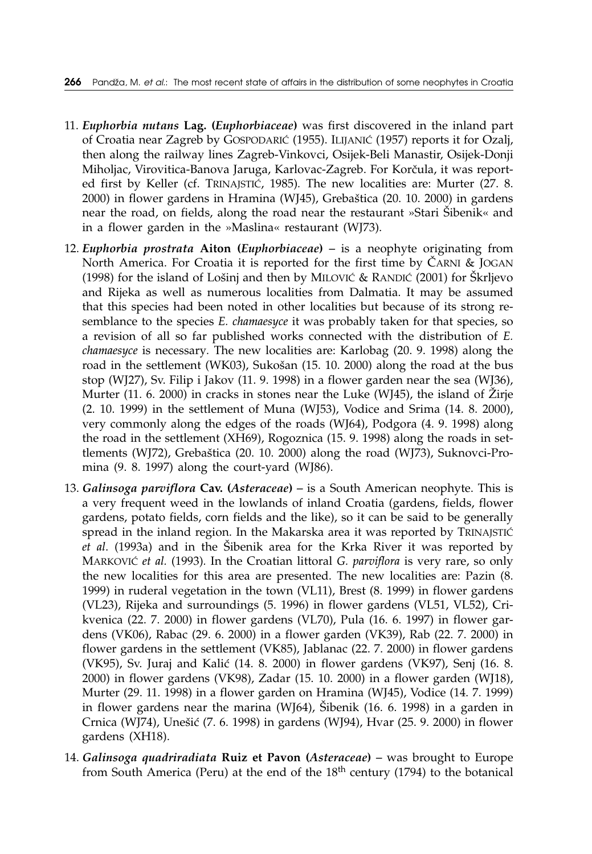- 11. *Euphorbia nutans* **Lag. (***Euphorbiaceae***)** was first discovered in the inland part of Croatia near Zagreb by GOSPODARIĆ (1955). ILIJANIĆ (1957) reports it for Ozalj, then along the railway lines Zagreb-Vinkovci, Osijek-Beli Manastir, Osijek-Donji Miholjac, Virovitica-Banova Jaruga, Karlovac-Zagreb. For Korčula, it was reported first by Keller (cf. TRINAJSTIĆ, 1985). The new localities are: Murter (27. 8.  $2000$ ) in flower gardens in Hramina (WJ45), Grebaštica (20. 10. 2000) in gardens near the road, on fields, along the road near the restaurant »Stari Šibenik« and in a flower garden in the »Maslina« restaurant (WJ73).
- 12. *Euphorbia prostrata* **Aiton (***Euphorbiaceae***)** *–* is a neophyte originating from North America. For Croatia it is reported for the first time by  $\check{C}$ ARNI & JOGAN (1998) for the island of Lošinj and then by MILOVIĆ & RANDIĆ (2001) for  $\text{\r{S}}\text{krljevo}$ and Rijeka as well as numerous localities from Dalmatia. It may be assumed that this species had been noted in other localities but because of its strong resemblance to the species *E. chamaesyce* it was probably taken for that species, so a revision of all so far published works connected with the distribution of *E. chamaesyce* is necessary*.* The new localities are: Karlobag (20. 9. 1998) along the road in the settlement (WK03), Sukošan (15. 10. 2000) along the road at the bus stop (WJ27), Sv. Filip i Jakov (11. 9. 1998) in a flower garden near the sea (WJ36), Murter (11. 6. 2000) in cracks in stones near the Luke (WJ45), the island of  $\check{Z}$ irje (2. 10. 1999) in the settlement of Muna (WJ53), Vodice and Srima (14. 8. 2000), very commonly along the edges of the roads (WJ64), Podgora (4. 9. 1998) along the road in the settlement (XH69), Rogoznica (15. 9. 1998) along the roads in settlements (WJ72), Grebaštica (20. 10. 2000) along the road (WJ73), Suknovci-Promina (9. 8. 1997) along the court-yard (WJ86).
- 13. *Galinsoga parviflora* **Cav. (***Asteraceae***)** *–* is a South American neophyte. This is a very frequent weed in the lowlands of inland Croatia (gardens, fields, flower gardens, potato fields, corn fields and the like), so it can be said to be generally spread in the inland region. In the Makarska area it was reported by TRINAJSTIĆ *et al.* (1993a) and in the Šibenik area for the Krka River it was reported by MARKOVIĆ et al. (1993). In the Croatian littoral *G. parviflora* is very rare, so only the new localities for this area are presented. The new localities are: Pazin (8. 1999) in ruderal vegetation in the town (VL11), Brest (8. 1999) in flower gardens (VL23), Rijeka and surroundings (5. 1996) in flower gardens (VL51, VL52), Crikvenica (22. 7. 2000) in flower gardens (VL70), Pula (16. 6. 1997) in flower gardens (VK06), Rabac (29. 6. 2000) in a flower garden (VK39), Rab (22. 7. 2000) in flower gardens in the settlement (VK85), Jablanac (22. 7. 2000) in flower gardens (VK95), Sv. Juraj and Kalić (14. 8. 2000) in flower gardens (VK97), Senj (16. 8. 2000) in flower gardens (VK98), Zadar (15. 10. 2000) in a flower garden (WJ18), Murter (29. 11. 1998) in a flower garden on Hramina (WJ45), Vodice (14. 7. 1999) in flower gardens near the marina (WJ64),  $\tilde{S}$ ibenik (16. 6. 1998) in a garden in Crnica (WJ74), Unešić (7. 6. 1998) in gardens (WJ94), Hvar (25. 9. 2000) in flower gardens (XH18).
- 14. *Galinsoga quadriradiata* **Ruiz et Pavon (***Asteraceae***)** *–* was brought to Europe from South America (Peru) at the end of the  $18<sup>th</sup>$  century (1794) to the botanical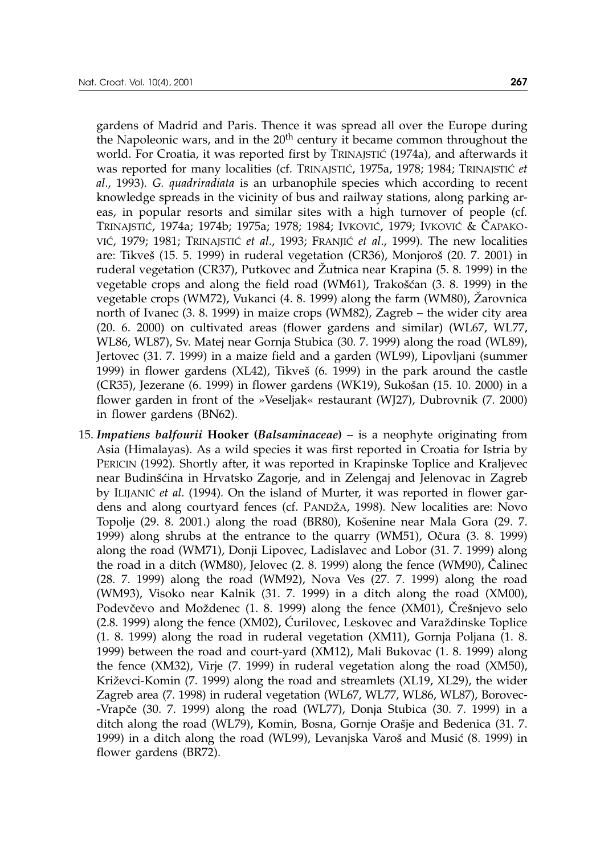gardens of Madrid and Paris. Thence it was spread all over the Europe during the Napoleonic wars, and in the  $20<sup>th</sup>$  century it became common throughout the world. For Croatia, it was reported first by TRINAJSTIĆ (1974a), and afterwards it was reported for many localities (cf. TRINAJSTIĆ, 1975a, 1978; 1984; TRINAJSTIĆ *et al*., 1993)*. G. quadriradiata* is an urbanophile species which according to recent knowledge spreads in the vicinity of bus and railway stations, along parking areas, in popular resorts and similar sites with a high turnover of people (cf*.* TRINAJSTIĆ, 1974a; 1974b; 1975a; 1978; 1984; IVKOVIĆ, 1979; IVKOVIĆ & ČAPAKO-VI], 1979; 1981; TRINAJSTI] *et al*., 1993; FRANJI] *et al*., 1999)*.* The new localities are: Tikveš (15. 5. 1999) in ruderal vegetation (CR36), Monjoroš (20. 7. 2001) in ruderal vegetation (CR37), Putkovec and Žutnica near Krapina (5. 8. 1999) in the vegetable crops and along the field road  $(WM61)$ , Trakošćan  $(3. 8. 1999)$  in the vegetable crops (WM72), Vukanci (4. 8. 1999) along the farm (WM80), @arovnica north of Ivanec (3. 8. 1999) in maize crops (WM82), Zagreb – the wider city area (20. 6. 2000) on cultivated areas (flower gardens and similar) (WL67, WL77, WL86, WL87), Sv. Matej near Gornja Stubica (30. 7. 1999) along the road (WL89), Jertovec (31. 7. 1999) in a maize field and a garden (WL99), Lipovljani (summer 1999) in flower gardens  $(XL42)$ , Tikveš  $(6. 1999)$  in the park around the castle  $(CR35)$ , Jezerane  $(6. 1999)$  in flower gardens  $(WK19)$ , Sukošan  $(15. 10. 2000)$  in a flower garden in front of the »Veseljak« restaurant (WJ27), Dubrovnik (7. 2000) in flower gardens (BN62).

15. *Impatiens balfourii* **Hooker (***Balsaminaceae***)** *–* is a neophyte originating from Asia (Himalayas). As a wild species it was first reported in Croatia for Istria by PERICIN (1992)*.* Shortly after, it was reported in Krapinske Toplice and Kraljevec near Budinšćina in Hrvatsko Zagorje, and in Zelengaj and Jelenovac in Zagreb by ILIJANIC *et al.* (1994). On the island of Murter, it was reported in flower gardens and along courtyard fences (cf. PANDŽA, 1998). New localities are: Novo Topolje (29. 8. 2001.) along the road (BR80), Košenine near Mala Gora (29. 7. 1999) along shrubs at the entrance to the quarry  $(WM51)$ , Očura  $(3. 8. 1999)$ along the road (WM71), Donji Lipovec, Ladislavec and Lobor (31. 7. 1999) along the road in a ditch (WM80), Jelovec (2. 8. 1999) along the fence (WM90), Čalinec (28. 7. 1999) along the road (WM92), Nova Ves (27. 7. 1999) along the road (WM93), Visoko near Kalnik (31. 7. 1999) in a ditch along the road (XM00), Podevčevo and Moždenec (1. 8. 1999) along the fence (XM01), Črešnjevo selo  $(2.8. 1999)$  along the fence  $(XM02)$ ,  $\acute{C}$ urilovec, Leskovec and Varaždinske Toplice (1. 8. 1999) along the road in ruderal vegetation (XM11), Gornja Poljana (1. 8. 1999) between the road and court-yard (XM12), Mali Bukovac (1. 8. 1999) along the fence (XM32), Virje (7. 1999) in ruderal vegetation along the road (XM50), Križevci-Komin (7. 1999) along the road and streamlets (XL19, XL29), the wider Zagreb area (7. 1998) in ruderal vegetation (WL67, WL77, WL86, WL87), Borovec- -Vrapče (30. 7. 1999) along the road (WL77), Donja Stubica (30. 7. 1999) in a ditch along the road (WL79), Komin, Bosna, Gornje Orašje and Bedenica (31. 7. 1999) in a ditch along the road (WL99), Levanjska Varoš and Musić (8. 1999) in flower gardens (BR72).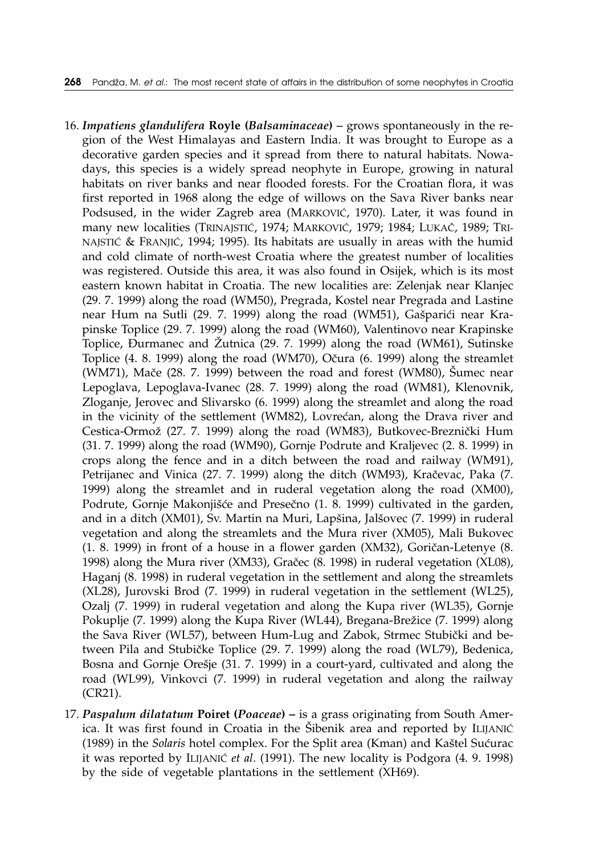- 16. *Impatiens glandulifera* **Royle (***Balsaminaceae***)** *–* grows spontaneously in the region of the West Himalayas and Eastern India. It was brought to Europe as a decorative garden species and it spread from there to natural habitats. Nowadays, this species is a widely spread neophyte in Europe, growing in natural habitats on river banks and near flooded forests. For the Croatian flora, it was first reported in 1968 along the edge of willows on the Sava River banks near Podsused, in the wider Zagreb area (MARKOVIĆ, 1970). Later, it was found in many new localities (TRINAJSTIĆ, 1974; MARKOVIĆ, 1979; 1984; LUKAČ, 1989; TRI-NAJSTIĆ & FRANJIĆ, 1994; 1995). Its habitats are usually in areas with the humid and cold climate of north-west Croatia where the greatest number of localities was registered. Outside this area, it was also found in Osijek, which is its most eastern known habitat in Croatia. The new localities are: Zelenjak near Klanjec (29. 7. 1999) along the road (WM50), Pregrada, Kostel near Pregrada and Lastine near Hum na Sutli (29. 7. 1999) along the road (WM51), Gašparići near Krapinske Toplice (29. 7. 1999) along the road (WM60), Valentinovo near Krapinske Toplice, Đurmanec and Žutnica (29. 7. 1999) along the road (WM61), Sutinske Toplice  $(4. 8. 1999)$  along the road  $(WM70)$ , Očura  $(6. 1999)$  along the streamlet (WM71), Mače  $(28. 7. 1999)$  between the road and forest (WM80), Šumec near Lepoglava, Lepoglava-Ivanec (28. 7. 1999) along the road (WM81), Klenovnik, Zloganje, Jerovec and Slivarsko (6. 1999) along the streamlet and along the road in the vicinity of the settlement (WM82), Lovrećan, along the Drava river and Cestica-Ormož (27. 7. 1999) along the road (WM83), Butkovec-Breznički Hum (31. 7. 1999) along the road (WM90), Gornje Podrute and Kraljevec (2. 8. 1999) in crops along the fence and in a ditch between the road and railway (WM91), Petrijanec and Vinica (27. 7. 1999) along the ditch (WM93), Kračevac, Paka (7. 1999) along the streamlet and in ruderal vegetation along the road (XM00), Podrute, Gornje Makonjišće and Presečno (1. 8. 1999) cultivated in the garden, and in a ditch (XM01), Sv. Martin na Muri, Lapšina, Jalšovec (7. 1999) in ruderal vegetation and along the streamlets and the Mura river (XM05), Mali Bukovec  $(1. 8. 1999)$  in front of a house in a flower garden  $(XM32)$ , Goričan-Letenye  $(8. 1999)$ 1998) along the Mura river (XM33), Gračec (8. 1998) in ruderal vegetation (XL08), Haganj (8. 1998) in ruderal vegetation in the settlement and along the streamlets (XL28), Jurovski Brod (7. 1999) in ruderal vegetation in the settlement (WL25), Ozalj (7. 1999) in ruderal vegetation and along the Kupa river (WL35), Gornje Pokuplje (7. 1999) along the Kupa River (WL44), Bregana-Brežice (7. 1999) along the Sava River (WL57), between Hum-Lug and Zabok, Strmec Stubički and between Pila and Stubičke Toplice (29. 7. 1999) along the road (WL79), Bedenica, Bosna and Gornje Orešje (31. 7. 1999) in a court-yard, cultivated and along the road (WL99), Vinkovci (7. 1999) in ruderal vegetation and along the railway (CR21).
- 17. *Paspalum dilatatum* **Poiret (***Poaceae***) –** is a grass originating from South America. It was first found in Croatia in the Šibenik area and reported by ILIJANIĆ (1989) in the *Solaris* hotel complex. For the Split area (Kman) and Kaštel Sućurac it was reported by ILIJANIĆ et al. (1991). The new locality is Podgora (4. 9. 1998) by the side of vegetable plantations in the settlement (XH69).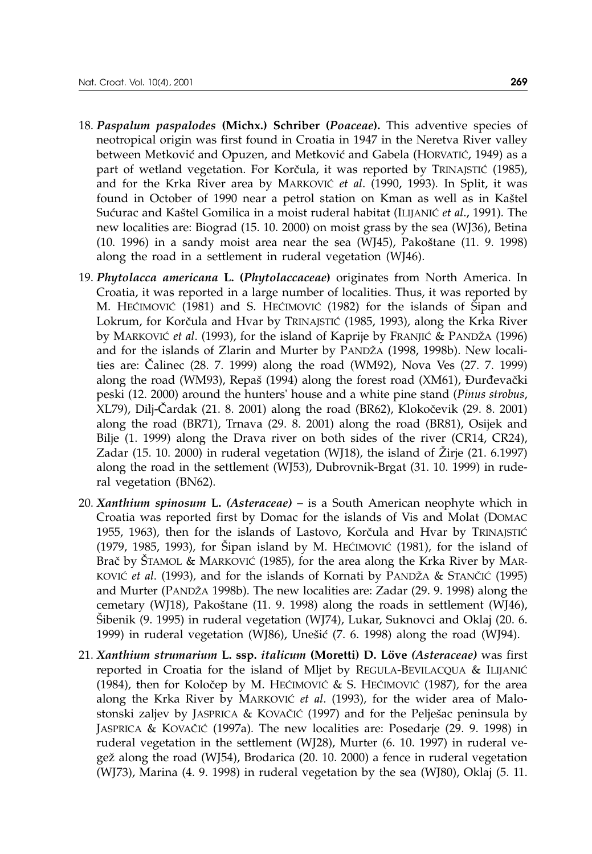- 
- 18. *Paspalum paspalodes* **(Michx.) Schriber (***Poaceae***).** This adventive species of neotropical origin was first found in Croatia in 1947 in the Neretva River valley between Metković and Opuzen, and Metković and Gabela (HORVATIĆ, 1949) as a part of wetland vegetation. For Korčula, it was reported by TRINAJSTIĆ (1985), and for the Krka River area by MARKOVIĆ et al. (1990, 1993). In Split, it was found in October of 1990 near a petrol station on Kman as well as in Kaštel Sućurac and Kaštel Gomilica in a moist ruderal habitat (ILIJANIĆ et al., 1991). The new localities are: Biograd (15. 10. 2000) on moist grass by the sea (WJ36), Betina  $(10. 1996)$  in a sandy moist area near the sea  $(W/45)$ , Pakoštane  $(11. 9. 1998)$ along the road in a settlement in ruderal vegetation (WJ46).
- 19. *Phytolacca americana* **L. (***Phytolaccaceae***)** originates from North America. In Croatia, it was reported in a large number of localities. Thus, it was reported by M. HECIMOVIC (1981) and S. HECIMOVIC (1982) for the islands of Sipan and Lokrum, for Kor~ula and Hvar by TRINAJSTI] (1985, 1993)*,* along the Krka River by MARKOVIĆ *et al.* (1993), for the island of Kaprije by FRANJIĆ & PANDŽA (1996) and for the islands of Zlarin and Murter by PANDŽA (1998, 1998b). New localities are: Calinec (28. 7. 1999) along the road (WM92), Nova Ves (27. 7. 1999) along the road (WM93), Repaš (1994) along the forest road (XM61), Durđevački peski (12. 2000) around the hunters' house and a white pine stand (*Pinus strobus*, XL79), Dilj-Cardak (21. 8. 2001) along the road (BR62), Klokočevik (29. 8. 2001) along the road (BR71), Trnava (29. 8. 2001) along the road (BR81), Osijek and Bilje (1. 1999) along the Drava river on both sides of the river (CR14, CR24), Zadar  $(15. 10. 2000)$  in ruderal vegetation  $(WJ18)$ , the island of Zirje  $(21. 6.1997)$ along the road in the settlement (WJ53), Dubrovnik-Brgat (31. 10. 1999) in ruderal vegetation (BN62).
- 20. *Xanthium spinosum* **L.** *(Asteraceae) –* is a South American neophyte which in Croatia was reported first by Domac for the islands of Vis and Molat (DOMAC 1955, 1963), then for the islands of Lastovo, Korčula and Hvar by TRINAJSTIĆ (1979, 1985, 1993), for Šipan island by M. HEĆIMOVIĆ (1981), for the island of Brač by ŠTAMOL & MARKOVIĆ (1985), for the area along the Krka River by MAR-KOVIĆ et al. (1993), and for the islands of Kornati by PANDŽA & STANČIĆ (1995) and Murter (PANDŽA 1998b). The new localities are: Zadar (29. 9. 1998) along the cemetary (WJ18), Pakoštane (11. 9. 1998) along the roads in settlement (WJ46), [ibenik (9. 1995) in ruderal vegetation (WJ74), Lukar, Suknovci and Oklaj (20. 6. 1999) in ruderal vegetation (WJ86), Unešić  $(7. 6. 1998)$  along the road (WJ94).
- 21. *Xanthium strumarium* **L. ssp.** *italicum* **(Moretti) D. Löve** *(Asteraceae)* was first reported in Croatia for the island of Mljet by REGULA-BEVILACQUA & ILIJANIĆ (1984), then for Koločep by M. HEĆIMOVIĆ & S. HEĆIMOVIĆ (1987), for the area along the Krka River by MARKOVIĆ et al. (1993), for the wider area of Malostonski zaljev by JASPRICA & KOVAČIĆ (1997) and for the Pelješac peninsula by JASPRICA & KOVAČIĆ (1997a). The new localities are: Posedarje (29. 9. 1998) in ruderal vegetation in the settlement (WJ28), Murter (6. 10. 1997) in ruderal vege' along the road (WJ54), Brodarica (20. 10. 2000) a fence in ruderal vegetation (WJ73), Marina (4. 9. 1998) in ruderal vegetation by the sea (WJ80), Oklaj (5. 11.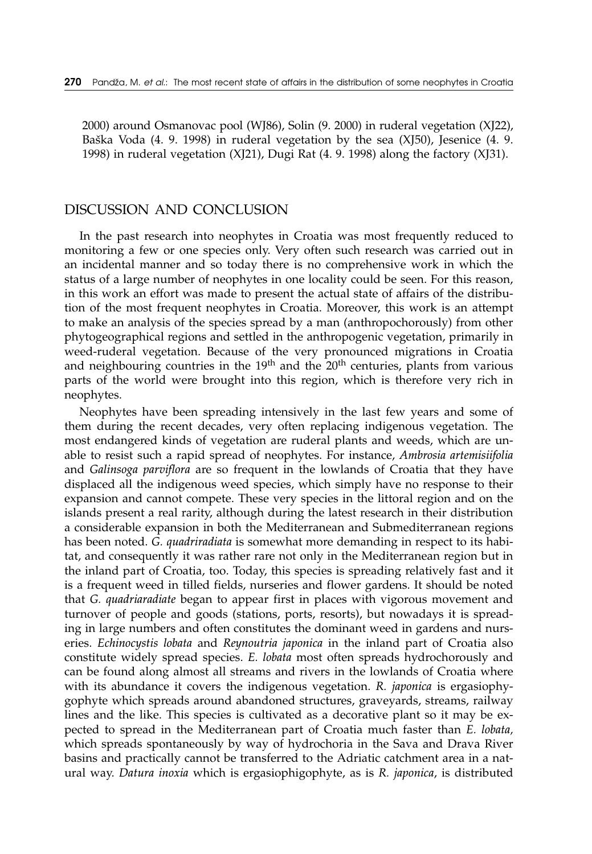2000) around Osmanovac pool (WJ86), Solin (9. 2000) in ruderal vegetation (XJ22), Baška Voda (4. 9. 1998) in ruderal vegetation by the sea (XJ50), Jesenice (4. 9. 1998) in ruderal vegetation (XJ21), Dugi Rat (4. 9. 1998) along the factory (XJ31).

### DISCUSSION AND CONCLUSION

In the past research into neophytes in Croatia was most frequently reduced to monitoring a few or one species only. Very often such research was carried out in an incidental manner and so today there is no comprehensive work in which the status of a large number of neophytes in one locality could be seen. For this reason, in this work an effort was made to present the actual state of affairs of the distribution of the most frequent neophytes in Croatia. Moreover, this work is an attempt to make an analysis of the species spread by a man (anthropochorously) from other phytogeographical regions and settled in the anthropogenic vegetation, primarily in weed-ruderal vegetation. Because of the very pronounced migrations in Croatia and neighbouring countries in the  $19<sup>th</sup>$  and the  $20<sup>th</sup>$  centuries, plants from various parts of the world were brought into this region, which is therefore very rich in neophytes.

Neophytes have been spreading intensively in the last few years and some of them during the recent decades, very often replacing indigenous vegetation. The most endangered kinds of vegetation are ruderal plants and weeds, which are unable to resist such a rapid spread of neophytes. For instance, *Ambrosia artemisiifolia* and *Galinsoga parviflora* are so frequent in the lowlands of Croatia that they have displaced all the indigenous weed species, which simply have no response to their expansion and cannot compete. These very species in the littoral region and on the islands present a real rarity, although during the latest research in their distribution a considerable expansion in both the Mediterranean and Submediterranean regions has been noted. *G. quadriradiata* is somewhat more demanding in respect to its habitat, and consequently it was rather rare not only in the Mediterranean region but in the inland part of Croatia, too. Today, this species is spreading relatively fast and it is a frequent weed in tilled fields, nurseries and flower gardens. It should be noted that *G. quadriaradiate* began to appear first in places with vigorous movement and turnover of people and goods (stations, ports, resorts), but nowadays it is spreading in large numbers and often constitutes the dominant weed in gardens and nurseries. *Echinocystis lobata* and *Reynoutria japonica* in the inland part of Croatia also constitute widely spread species. *E. lobata* most often spreads hydrochorously and can be found along almost all streams and rivers in the lowlands of Croatia where with its abundance it covers the indigenous vegetation. *R. japonica* is ergasiophygophyte which spreads around abandoned structures, graveyards, streams, railway lines and the like. This species is cultivated as a decorative plant so it may be expected to spread in the Mediterranean part of Croatia much faster than *E. lobata,* which spreads spontaneously by way of hydrochoria in the Sava and Drava River basins and practically cannot be transferred to the Adriatic catchment area in a natural way. *Datura inoxia* which is ergasiophigophyte, as is *R. japonica*, is distributed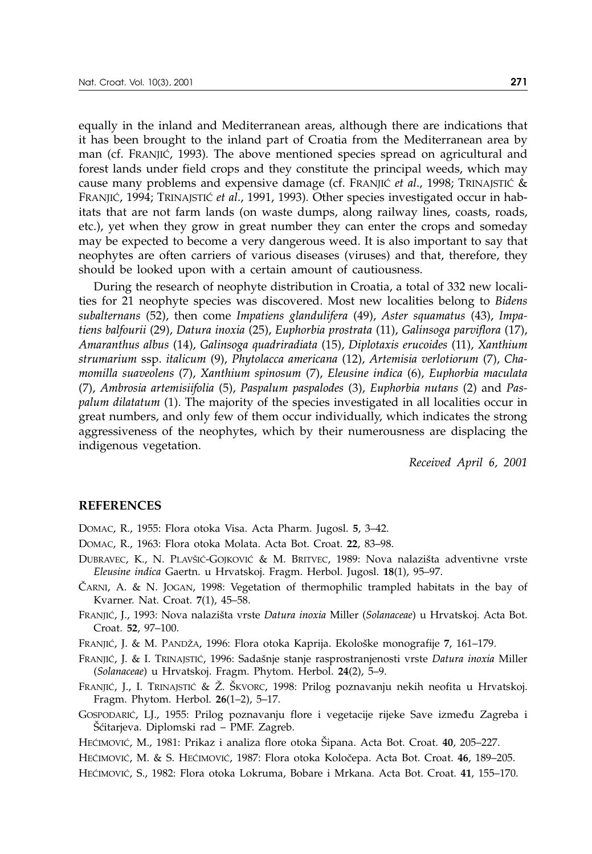equally in the inland and Mediterranean areas, although there are indications that it has been brought to the inland part of Croatia from the Mediterranean area by man (cf. FRANJIĆ, 1993). The above mentioned species spread on agricultural and forest lands under field crops and they constitute the principal weeds, which may cause many problems and expensive damage (cf. FRANJIC et al., 1998; TRINAJSTIC & FRANJIĆ, 1994; TRINAJSTIĆ et al., 1991, 1993). Other species investigated occur in habitats that are not farm lands (on waste dumps, along railway lines, coasts, roads, etc.), yet when they grow in great number they can enter the crops and someday may be expected to become a very dangerous weed. It is also important to say that neophytes are often carriers of various diseases (viruses) and that, therefore, they should be looked upon with a certain amount of cautiousness.

During the research of neophyte distribution in Croatia, a total of 332 new localities for 21 neophyte species was discovered. Most new localities belong to *Bidens subalternans* (52), then come *Impatiens glandulifera* (49), *Aster squamatus* (43), *Impatiens balfourii* (29), *Datura inoxia* (25), *Euphorbia prostrata* (11), *Galinsoga parviflora* (17), *Amaranthus albus* (14), *Galinsoga quadriradiata* (15), *Diplotaxis erucoides* (11), *Xanthium strumarium* ssp. *italicum* (9), *Phytolacca americana* (12), *Artemisia verlotiorum* (7), *Chamomilla suaveolens* (7), *Xanthium spinosum* (7), *Eleusine indica* (6), *Euphorbia maculata* (7), *Ambrosia artemisiifolia* (5), *Paspalum paspalodes* (3), *Euphorbia nutans* (2) and *Paspalum dilatatum* (1). The majority of the species investigated in all localities occur in great numbers, and only few of them occur individually, which indicates the strong aggressiveness of the neophytes, which by their numerousness are displacing the indigenous vegetation.

*Received April 6, 2001*

#### **REFERENCES**

DOMAC, R., 1955: Flora otoka Visa. Acta Pharm. Jugosl. **5**, 3–42.

- DOMAC, R., 1963: Flora otoka Molata. Acta Bot. Croat. **22**, 83–98.
- DUBRAVEC, K., N. PLAVŠIĆ-GOJKOVIĆ & M. BRITVEC, 1989: Nova nalazišta adventivne vrste *Eleusine indica* Gaertn. u Hrvatskoj. Fragm. Herbol. Jugosl. **18**(1), 95–97.
- $\check{C}$ ARNI, A. & N. JOGAN, 1998: Vegetation of thermophilic trampled habitats in the bay of Kvarner. Nat. Croat. **7**(1), 45–58.
- FRANJIĆ, J., 1993: Nova nalazišta vrste *Datura inoxia* Miller (Solanaceae) u Hrvatskoj. Acta Bot. Croat. **52**, 97–100.
- FRANJIĆ, J. & M. PANDŽA, 1996: Flora otoka Kaprija. Ekološke monografije 7, 161–179.
- FRANJIĆ, J. & I. TRINAJSTIĆ, 1996: Sadašnje stanje rasprostranjenosti vrste *Datura inoxia* Miller (*Solanaceae*) u Hrvatskoj. Fragm. Phytom. Herbol. **24**(2), 5–9.
- FRANJIĆ, J., I. TRINAJSTIĆ & Ž. ŠKVORC, 1998: Prilog poznavanju nekih neofita u Hrvatskoj. Fragm. Phytom. Herbol. **26**(1–2), 5–17.
- GOSPODARIĆ, LJ., 1955: Prilog poznavanju flore i vegetacije rijeke Save između Zagreba i Šćitarjeva. Diplomski rad – PMF. Zagreb.
- HEĆIMOVIĆ, M., 1981: Prikaz i analiza flore otoka Šipana. Acta Bot. Croat. **40**, 205–227.
- HEĆIMOVIĆ, M. & S. HEĆIMOVIĆ, 1987: Flora otoka Koločepa. Acta Bot. Croat. 46, 189–205.
- HEĆIMOVIĆ, S., 1982: Flora otoka Lokruma, Bobare i Mrkana. Acta Bot. Croat. **41**, 155–170.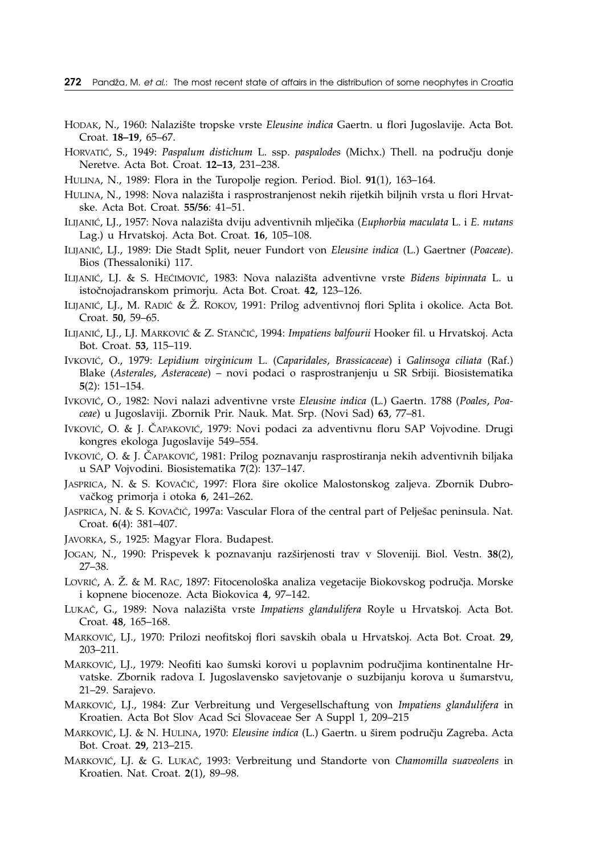- HODAK, N., 1960: Nalazi{te tropske vrste *Eleusine indica* Gaertn. u flori Jugoslavije. Acta Bot. Croat. **18–19**, 65–67.
- HORVATIĆ, S., 1949: *Paspalum distichum* L. ssp. *paspalodes* (Michx.) Thell. na području donje Neretve. Acta Bot. Croat. **12–13**, 231–238.
- HULINA, N., 1989: Flora in the Turopolje region. Period. Biol. **91**(1), 163–164.
- HULINA, N., 1998: Nova nalazišta i rasprostranjenost nekih rijetkih biljnih vrsta u flori Hrvatske. Acta Bot. Croat. **55/56**: 41–51.
- ILIJANI], LJ., 1957: Nova nalazi{ta dviju adventivnih mlje~ika (*Euphorbia maculata* L. i *E. nutans* Lag.) u Hrvatskoj. Acta Bot. Croat. **16**, 105–108.
- ILIJANI], LJ., 1989: Die Stadt Split, neuer Fundort von *Eleusine indica* (L.) Gaertner (*Poaceae*). Bios (Thessaloniki) 117.
- ILIJANIĆ, LJ. & S. HEĆIMOVIĆ, 1983: Nova nalazišta adventivne vrste *Bidens bipinnata* L. u istočnojadranskom primorju. Acta Bot. Croat. **42**, 123-126.
- ILIJANIĆ, LJ., M. RADIĆ & Ž. ROKOV, 1991: Prilog adventivnoj flori Splita i okolice. Acta Bot. Croat. **50**, 59–65.
- ILIJANIĆ, LJ., LJ. MARKOVIĆ & Z. STANČIĆ, 1994: *Impatiens balfourii* Hooker fil. u Hrvatskoj. Acta Bot. Croat. **53**, 115–119.
- IVKOVI], O., 1979: *Lepidium virginicum* L. (*Caparidales*, *Brassicaceae*) i *Galinsoga ciliata* (Raf.) Blake (*Asterales*, *Asteraceae*) – novi podaci o rasprostranjenju u SR Srbiji. Biosistematika **5**(2): 151–154.
- IVKOVI], O., 1982: Novi nalazi adventivne vrste *Eleusine indica* (L.) Gaertn. 1788 (*Poales*, *Poaceae*) u Jugoslaviji. Zbornik Prir. Nauk. Mat. Srp. (Novi Sad) **63**, 77–81.
- Ivković, O. & J. ČAPAKOVIć, 1979: Novi podaci za adventivnu floru SAP Vojvodine. Drugi kongres ekologa Jugoslavije 549–554.
- Ivković, O. & J. ČAPAKOVIć, 1981: Prilog poznavanju rasprostiranja nekih adventivnih biljaka u SAP Vojvodini. Biosistematika **7**(2): 137–147.
- JASPRICA, N. & S. KOVAČIĆ, 1997: Flora šire okolice Malostonskog zaljeva. Zbornik Dubrovačkog primorja i otoka **6**, 241–262.
- JASPRICA, N. & S. KOVAČIĆ, 1997a: Vascular Flora of the central part of Pelješac peninsula. Nat. Croat. **6**(4): 381–407.
- JAVORKA, S., 1925: Magyar Flora. Budapest.
- JOGAN, N., 1990: Prispevek k poznavanju raz{irjenosti trav v Sloveniji. Biol. Vestn. **38**(2), 27–38.
- LOVRIĆ, A. Ž. & M. RAC, 1897: Fitocenološka analiza vegetacije Biokovskog područja. Morske i kopnene biocenoze. Acta Biokovica **4**, 97–142.
- LUKAČ, G., 1989: Nova nalazišta vrste *Impatiens glandulifera* Royle u Hrvatskoj. Acta Bot. Croat. **48**, 165–168.
- MARKOVIĆ, LJ., 1970: Prilozi neofitskoj flori savskih obala u Hrvatskoj. Acta Bot. Croat. 29, 203–211.
- MARKOVIĆ, LJ., 1979: Neofiti kao šumski korovi u poplavnim područjima kontinentalne Hrvatske. Zbornik radova I. Jugoslavensko savjetovanje o suzbijanju korova u šumarstvu, 21–29. Sarajevo.
- MARKOVIĆ, LJ., 1984: Zur Verbreitung und Vergesellschaftung von Impatiens glandulifera in Kroatien. Acta Bot Slov Acad Sci Slovaceae Ser A Suppl 1, 209–215
- MARKOVIĆ, LJ. & N. HULINA, 1970: *Eleusine indica* (L.) Gaertn. u širem području Zagreba. Acta Bot. Croat. **29**, 213–215.
- MARKOVIĆ, LJ. & G. LUKAČ, 1993: Verbreitung und Standorte von *Chamomilla suaveolens* in Kroatien. Nat. Croat. **2**(1), 89–98.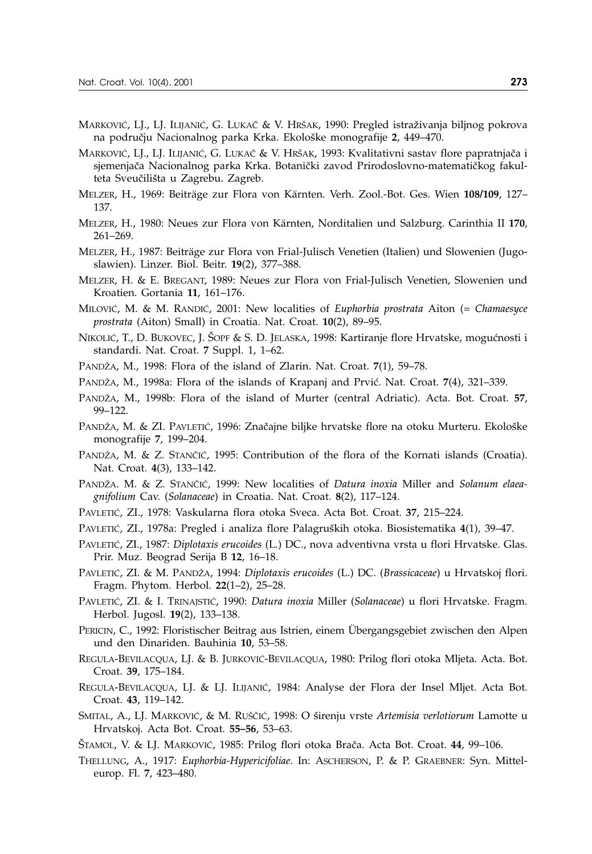- MARKOVIĆ, LJ., LJ. ILIJANIĆ, G. LUKAČ & V. HRŠAK, 1990: Pregled istraživanja biljnog pokrova na području Nacionalnog parka Krka. Ekološke monografije 2, 449–470.
- MARKOVIĆ, LJ., LJ. ILIJANIĆ, G. LUKAČ & V. HRŠAK, 1993: Kvalitativni sastav flore papratnjača i sjemenjača Nacionalnog parka Krka. Botanički zavod Prirodoslovno-matematičkog fakulteta Sveučilišta u Zagrebu. Zagreb.
- MELZER, H., 1969: Beiträge zur Flora von Kärnten. Verh. Zool.-Bot. Ges. Wien **108/109**, 127– 137.
- MELZER, H., 1980: Neues zur Flora von Kärnten, Norditalien und Salzburg. Carinthia II **170**, 261–269.
- MELZER, H., 1987: Beiträge zur Flora von Frial-Julisch Venetien (Italien) und Slowenien (Jugoslawien). Linzer. Biol. Beitr. **19**(2), 377–388.
- MELZER, H. & E. BREGANT, 1989: Neues zur Flora von Frial-Julisch Venetien, Slowenien und Kroatien. Gortania **11**, 161–176.
- MILOVIĆ, M. & M. RANDIĆ, 2001: New localities of *Euphorbia prostrata* Aiton (= *Chamaesyce prostrata* (Aiton) Small) in Croatia. Nat. Croat. **10**(2), 89–95.
- NIKOLIĆ, T., D. BUKOVEC, J. ŠOPF & S. D. JELASKA, 1998: Kartiranje flore Hrvatske, mogućnosti i standardi. Nat. Croat. **7** Suppl. 1, 1–62.
- PAND@A, M., 1998: Flora of the island of Zlarin. Nat. Croat. **7**(1), 59–78.
- PANDŽA, M., 1998a: Flora of the islands of Krapanj and Prvić. Nat. Croat. **7**(4), 321–339.
- PAND@A, M., 1998b: Flora of the island of Murter (central Adriatic). Acta. Bot. Croat. **57**, 99–122.
- PANDŽA, M. & ZI. PAVLETIĆ, 1996: Značajne biljke hrvatske flore na otoku Murteru. Ekološke monografije **7**, 199–204.
- PANDŽA, M. & Z. STANČIĆ, 1995: Contribution of the flora of the Kornati islands (Croatia). Nat. Croat. **4**(3), 133–142.
- PANDŽA. M. & Z. STANČIĆ, 1999: New localities of *Datura inoxia* Miller and *Solanum elaeagnifolium* Cav. (*Solanaceae*) in Croatia. Nat. Croat. **8**(2), 117–124.
- PAVLETIĆ, ZI., 1978: Vaskularna flora otoka Sveca. Acta Bot. Croat. **37**, 215–224.
- PAVLETIĆ, ZI., 1978a: Pregled i analiza flore Palagruških otoka. Biosistematika 4(1), 39–47.
- PAVLETIĆ, ZI., 1987: *Diplotaxis erucoides* (L.) DC., nova adventivna vrsta u flori Hrvatske. Glas. Prir. Muz. Beograd Serija B **12**, 16–18.
- PAVLETIĆ, ZI. & M. PANDŽA, 1994: *Diplotaxis erucoides* (L.) DC. (*Brassicaceae*) u Hrvatskoj flori. Fragm. Phytom. Herbol. **22**(1–2), 25–28.
- PAVLETIĆ, ZI. & I. TRINAJSTIĆ, 1990: *Datura inoxia* Miller (*Solanaceae*) u flori Hrvatske. Fragm. Herbol. Jugosl. **19**(2), 133–138.
- PERICIN, C., 1992: Floristischer Beitrag aus Istrien, einem Übergangsgebiet zwischen den Alpen und den Dinariden. Bauhinia **10**, 53–58.
- REGULA-BEVILACQUA, LJ. & B. JURKOVIĆ-BEVILACQUA, 1980: Prilog flori otoka Mljeta. Acta. Bot. Croat. **39**, 175–184.
- REGULA-BEVILACQUA, LJ. & LJ. ILIJANIĆ, 1984: Analyse der Flora der Insel Mljet. Acta Bot. Croat. **43**, 119–142.
- SMITAL, A., LJ. MARKOVIĆ, & M. RUŠČIĆ, 1998: O širenju vrste *Artemisia verlotiorum* Lamotte u Hrvatskoj. Acta Bot. Croat. **55–56**, 53–63.
- [TAMOL, V. & LJ. MARKOVI], 1985: Prilog flori otoka Bra~a. Acta Bot. Croat. **44**, 99–106.
- THELLUNG, A., 1917: *Euphorbia-Hypericifoliae*. In: ASCHERSON, P. & P. GRAEBNER: Syn. Mitteleurop. Fl. **7**, 423–480.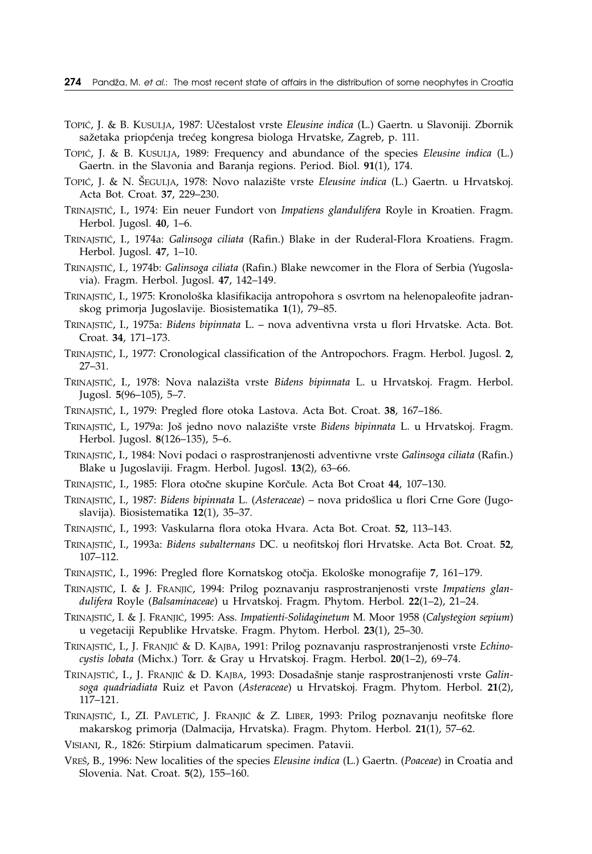- TOPIĆ, J. & B. KUSULJA, 1987: Učestalost vrste *Eleusine indica* (L.) Gaertn. u Slavoniji. Zbornik sažetaka priopćenja trećeg kongresa biologa Hrvatske, Zagreb, p. 111.
- TOPIĆ, J. & B. KUSULJA, 1989: Frequency and abundance of the species *Eleusine indica* (L.) Gaertn. in the Slavonia and Baranja regions. Period. Biol. **91**(1), 174.
- TOPIĆ, J. & N. ŠEGULJA, 1978: Novo nalazište vrste *Eleusine indica* (L.) Gaertn. u Hrvatskoj. Acta Bot. Croat. **37**, 229–230.
- TRINAJSTIĆ, I., 1974: Ein neuer Fundort von *Impatiens glandulifera* Royle in Kroatien. Fragm. Herbol. Jugosl. **40**, 1–6.
- TRINAJSTIĆ, I., 1974a: *Galinsoga ciliata* (Rafin.) Blake in der Ruderal-Flora Kroatiens. Fragm. Herbol. Jugosl. **47**, 1–10.
- TRINAJSTI], I., 1974b: *Galinsoga ciliata* (Rafin.) Blake newcomer in the Flora of Serbia (Yugoslavia). Fragm. Herbol. Jugosl. **47**, 142–149.
- TRINAJSTIĆ, I., 1975: Kronološka klasifikacija antropohora s osvrtom na helenopaleofite jadranskog primorja Jugoslavije. Biosistematika **1**(1), 79–85.
- TRINAJSTI], I., 1975a: *Bidens bipinnata* L. nova adventivna vrsta u flori Hrvatske. Acta. Bot. Croat. **34**, 171–173.
- TRINAJSTI], I., 1977: Cronological classification of the Antropochors. Fragm. Herbol. Jugosl. **2**, 27–31.
- TRINAJSTIĆ, I., 1978: Nova nalazišta vrste *Bidens bipinnata* L. u Hrvatskoj. Fragm. Herbol. Jugosl. **5**(96–105), 5–7.
- TRINAJSTI], I., 1979: Pregled flore otoka Lastova. Acta Bot. Croat. **38**, 167–186.
- TRINAJSTIĆ, I., 1979a: Još jedno novo nalazište vrste *Bidens bipinnata* L. u Hrvatskoj. Fragm. Herbol. Jugosl. **8**(126–135), 5–6.
- TRINAJSTI], I., 1984: Novi podaci o rasprostranjenosti adventivne vrste *Galinsoga ciliata* (Rafin.) Blake u Jugoslaviji. Fragm. Herbol. Jugosl. **13**(2), 63–66.
- TRINAJSTIĆ, I., 1985: Flora otočne skupine Korčule. Acta Bot Croat 44, 107–130.
- TRINAJSTIĆ, I., 1987: *Bidens bipinnata* L. (Asteraceae) nova pridošlica u flori Crne Gore (Jugoslavija). Biosistematika **12**(1), 35–37.
- TRINAJSTI], I., 1993: Vaskularna flora otoka Hvara. Acta Bot. Croat. **52**, 113–143.
- TRINAJSTI], I., 1993a: *Bidens subalternans* DC. u neofitskoj flori Hrvatske. Acta Bot. Croat. **52**, 107–112.
- TRINAJSTIĆ, I., 1996: Pregled flore Kornatskog otočja. Ekološke monografije 7, 161–179.
- TRINAJSTIĆ, I. & J. FRANJIĆ, 1994: Prilog poznavanju rasprostranjenosti vrste Impatiens glan*dulifera* Royle (*Balsaminaceae*) u Hrvatskoj. Fragm. Phytom. Herbol. **22**(1–2), 21–24.
- TRINAJSTI], I. & J. FRANJI], 1995: Ass. *Impatienti-Solidaginetum* M. Moor 1958 (*Calystegion sepium*) u vegetaciji Republike Hrvatske. Fragm. Phytom. Herbol. **23**(1), 25–30.
- TRINAJSTIĆ, I., J. FRANJIĆ & D. KAJBA, 1991: Prilog poznavanju rasprostranjenosti vrste *Echinocystis lobata* (Michx.) Torr. & Gray u Hrvatskoj. Fragm. Herbol. **20**(1–2), 69–74.
- TRINAJSTIĆ, I., J. FRANJIĆ & D. KAJBA, 1993: Dosadašnje stanje rasprostranjenosti vrste *Galinsoga quadriadiata* Ruiz et Pavon (*Asteraceae*) u Hrvatskoj. Fragm. Phytom. Herbol. **21**(2), 117–121.
- TRINAJSTIĆ, I., ZI. PAVLETIĆ, J. FRANJIĆ & Z. LIBER, 1993: Prilog poznavanju neofitske flore makarskog primorja (Dalmacija, Hrvatska). Fragm. Phytom. Herbol. **21**(1), 57–62.
- VISIANI, R., 1826: Stirpium dalmaticarum specimen. Patavii.
- VRE[, B., 1996: New localities of the species *Eleusine indica* (L.) Gaertn. (*Poaceae*) in Croatia and Slovenia. Nat. Croat. **5**(2), 155–160.